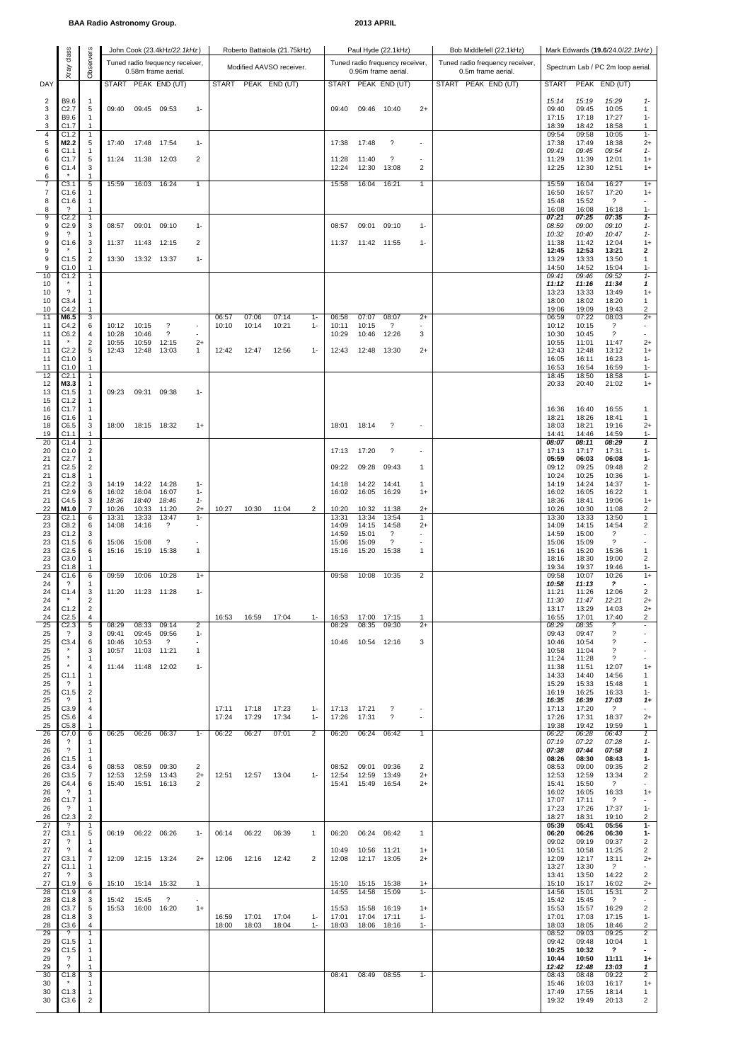## **BAA Radio Astronomy Group. 2013 APRIL**

|          | class                                  |                              |                |                | John Cook (23.4kHz/22.1kHz)                            |                          |                |                          | Roberto Battaiola (21.75kHz) |                |                                                        |                      | Paul Hyde (22.1kHz)                                   |                                   | Bob Middlefell (22.1kHz)<br>Mark Edwards (19.6/24.0/22.1kHz) |                |                |                                                        |                                     |  |  |  |
|----------|----------------------------------------|------------------------------|----------------|----------------|--------------------------------------------------------|--------------------------|----------------|--------------------------|------------------------------|----------------|--------------------------------------------------------|----------------------|-------------------------------------------------------|-----------------------------------|--------------------------------------------------------------|----------------|----------------|--------------------------------------------------------|-------------------------------------|--|--|--|
|          | Xray                                   | Observers                    |                |                | Tuned radio frequency receiver,<br>0.58m frame aerial. |                          |                | Modified AAVSO receiver. |                              |                | Tuned radio frequency receiver,<br>0.96m frame aerial. |                      | Tuned radio frequency receiver,<br>0.5m frame aerial. | Spectrum Lab / PC 2m loop aerial. |                                                              |                |                |                                                        |                                     |  |  |  |
| DAY      |                                        |                              |                |                | START PEAK END (UT)                                    |                          |                |                          | START PEAK END (UT)          |                |                                                        |                      | START PEAK END (UT)                                   |                                   | START PEAK END (UT)                                          | <b>START</b>   |                | PEAK END (UT)                                          |                                     |  |  |  |
| 2        | B9.6                                   | $\mathbf{1}$                 |                |                |                                                        |                          |                |                          |                              |                |                                                        |                      |                                                       |                                   |                                                              | 15:14          | 15:19          | 15:29                                                  | $1 -$                               |  |  |  |
| 3<br>3   | C <sub>2.7</sub><br>B9.6               | 5<br>1                       | 09:40          |                | 09:45 09:53                                            | $1 -$                    |                |                          |                              |                | 09:40                                                  | 09:46 10:40          |                                                       | $2+$                              |                                                              | 09:40<br>17:15 | 09:45<br>17:18 | 10:05<br>17:27                                         | 1<br>$1 -$                          |  |  |  |
| 3<br>4   | C1.7<br>C1.2                           | 1<br>$\mathbf{1}$            |                |                |                                                        |                          |                |                          |                              |                |                                                        |                      |                                                       |                                   |                                                              | 18:39<br>09:54 | 18:42<br>09:58 | 18:58<br>10:05                                         | 1<br>$1 -$                          |  |  |  |
| 5<br>6   | M2.2<br>C1.1                           | 5<br>1                       | 17:40          | 17:48          | 17:54                                                  | $1 -$                    |                |                          |                              |                | 17:38                                                  | 17:48                | $\overline{\phantom{0}}$                              | ٠                                 |                                                              | 17:38<br>09:41 | 17:49<br>09:45 | 18:38<br>09:54                                         | $^{2+}$<br>$1 -$                    |  |  |  |
| 6        | C1.7                                   | 5                            | 11:24          | 11:38          | 12:03                                                  | 2                        |                |                          |                              |                | 11:28                                                  | 11:40                | $\overline{\phantom{0}}$                              | ×                                 |                                                              | 11:29          | 11:39          | 12:01                                                  | $1+$                                |  |  |  |
| 6<br>6   | C1.4                                   | 3<br>$\mathbf{1}$            |                |                |                                                        |                          |                |                          |                              |                | 12:24                                                  | 12:30                | 13:08                                                 | 2                                 |                                                              | 12:25          | 12:30          | 12:51                                                  | $1+$                                |  |  |  |
| 7<br>7   | C3.1<br>C1.6                           | 5<br>1                       | 15:59          | 16:03          | 16:24                                                  | 1                        |                |                          |                              |                | 15:58                                                  | 16:04                | 16:21                                                 | $\mathbf{1}$                      |                                                              | 15:59<br>16:50 | 16:04<br>16:57 | 16:27<br>17:20                                         | $1+$<br>$1+$                        |  |  |  |
| 8<br>8   | C1.6<br>$\overline{\mathcal{E}}$       | $\mathbf{1}$<br>1            |                |                |                                                        |                          |                |                          |                              |                |                                                        |                      |                                                       |                                   |                                                              | 15:48<br>16:08 | 15:52<br>16:08 | $\gamma$<br>16:18                                      | 1-                                  |  |  |  |
| 9<br>9   | C <sub>2.2</sub><br>C2.9               | $\mathbf{1}$<br>3            | 08:57          | 09:01          | 09:10                                                  | $1 -$                    |                |                          |                              |                | 08:57                                                  | 09:01                | 09:10                                                 | $1 -$                             |                                                              | 07:21<br>08:59 | 07:25<br>09:00 | 07:35<br>09:10                                         | $1-$<br>$1-$                        |  |  |  |
| 9<br>9   | $\overline{\mathcal{L}}$<br>C1.6       | 1<br>3                       | 11:37          | 11:43          | 12:15                                                  | 2                        |                |                          |                              |                | 11:37                                                  | 11:42 11:55          |                                                       | $1 -$                             |                                                              | 10:32<br>11:38 | 10:40<br>11:42 | 10:47<br>12:04                                         | $1 -$<br>$1+$                       |  |  |  |
| 9<br>9   | C1.5                                   | 1<br>$\sqrt{2}$              | 13:30          |                | 13:32 13:37                                            | $1 -$                    |                |                          |                              |                |                                                        |                      |                                                       |                                   |                                                              | 12:45<br>13:29 | 12:53<br>13:33 | 13:21<br>13:50                                         | 2<br>1                              |  |  |  |
| 9<br>10  | C1.0<br>C1.2                           | 1<br>1                       |                |                |                                                        |                          |                |                          |                              |                |                                                        |                      |                                                       |                                   |                                                              | 14:50<br>09:41 | 14:52<br>09:46 | 15:04<br>09:52                                         | $1 -$<br>$1 -$                      |  |  |  |
| 10<br>10 |                                        | 1<br>1                       |                |                |                                                        |                          |                |                          |                              |                |                                                        |                      |                                                       |                                   |                                                              | 11:12<br>13:23 | 11:16<br>13:33 | 11:34<br>13:49                                         | 1<br>$1+$                           |  |  |  |
| 10<br>10 | C3.4<br>C4.2                           | $\mathbf{1}$<br>1            |                |                |                                                        |                          |                |                          |                              |                |                                                        |                      |                                                       |                                   |                                                              | 18:00          | 18:02<br>19:09 | 18:20                                                  | 1<br>2                              |  |  |  |
| 11       | M6.5                                   | 3                            |                |                |                                                        |                          | 06:57          | 07:06                    | 07:14                        | $1 -$          | 06:58                                                  | 07:07                | 08:07                                                 | $2+$                              |                                                              | 19:06<br>06:59 | 07:22          | 19:43<br>08:03                                         | $2+$                                |  |  |  |
| 11<br>11 | C4.2<br>C6.2                           | 6<br>4                       | 10:12<br>10:28 | 10:15<br>10:46 | $\boldsymbol{\mathcal{P}}$<br>$\gamma$                 | $\overline{\phantom{a}}$ | 10:10          | 10:14                    | 10:21                        | $1 -$          | 10:11<br>10:29                                         | 10:15<br>10:46       | $\gamma$<br>12:26                                     | 3                                 |                                                              | 10:12<br>10:30 | 10:15<br>10:45 | $\overline{\mathcal{E}}$<br>$\overline{\phantom{a}}$   | $\overline{\phantom{a}}$            |  |  |  |
| 11<br>11 | C <sub>2.2</sub>                       | $\boldsymbol{2}$<br>5        | 10:55<br>12:43 | 10:59<br>12:48 | 12:15<br>13:03                                         | $2+$<br>1                | 12:42          | 12:47                    | 12:56                        | $1 -$          | 12:43                                                  | 12:48                | 13:30                                                 | $2+$                              |                                                              | 10:55<br>12:43 | 11:01<br>12:48 | 11:47<br>13:12                                         | $2+$<br>$1+$                        |  |  |  |
| 11<br>11 | C1.0<br>C1.0                           | 1<br>1                       |                |                |                                                        |                          |                |                          |                              |                |                                                        |                      |                                                       |                                   |                                                              | 16:05<br>16:53 | 16:11<br>16:54 | 16:23<br>16:59                                         | $1-$<br>$1 -$                       |  |  |  |
| 12<br>12 | C2.1<br>M3.3                           | $\mathbf{1}$<br>$\mathbf{1}$ |                |                |                                                        |                          |                |                          |                              |                |                                                        |                      |                                                       |                                   |                                                              | 18:45<br>20:33 | 18:50<br>20:40 | 18:58<br>21:02                                         | $1 -$<br>$1+$                       |  |  |  |
| 13<br>15 | C1.5<br>C1.2                           | $\mathbf{1}$<br>$\mathbf{1}$ | 09:23          | 09:31          | 09:38                                                  | $1 -$                    |                |                          |                              |                |                                                        |                      |                                                       |                                   |                                                              |                |                |                                                        |                                     |  |  |  |
| 16<br>16 | C1.7<br>C1.6                           | 1<br>$\mathbf{1}$            |                |                |                                                        |                          |                |                          |                              |                |                                                        |                      |                                                       |                                   |                                                              | 16:36<br>18:21 | 16:40<br>18:26 | 16:55<br>18:41                                         | 1<br>1                              |  |  |  |
| 18<br>19 | C6.5<br>C1.1                           | 3<br>1                       | 18:00          | 18:15 18:32    |                                                        | $1+$                     |                |                          |                              |                | 18:01                                                  | 18:14                | $\overline{\mathcal{L}}$                              | ٠                                 |                                                              | 18:03<br>14:41 | 18:21<br>14:46 | 19:16<br>14:59                                         | $^{2+}$<br>$1-$                     |  |  |  |
| 20<br>20 | C1.4<br>C1.0                           | 1<br>2                       |                |                |                                                        |                          |                |                          |                              |                | 17:13                                                  | 17:20                | $\boldsymbol{\mathcal{P}}$                            | ٠                                 |                                                              | 08:07<br>17:13 | 08:11<br>17:17 | 08:29<br>17:31                                         | 1<br>$1-$                           |  |  |  |
| 21       | C2.7                                   | $\mathbf{1}$                 |                |                |                                                        |                          |                |                          |                              |                |                                                        |                      |                                                       |                                   |                                                              | 05:59          | 06:03          | 06:08                                                  | $1 -$                               |  |  |  |
| 21<br>21 | C <sub>2.5</sub><br>C1.8               | $\overline{\mathbf{c}}$<br>1 |                |                |                                                        |                          |                |                          |                              |                | 09:22                                                  | 09:28                | 09:43                                                 | $\mathbf{1}$                      |                                                              | 09:12<br>10:24 | 09:25<br>10:25 | 09:48<br>10:36                                         | 2<br>$1 -$                          |  |  |  |
| 21<br>21 | C2.2<br>C2.9                           | 3<br>6                       | 14:19<br>16:02 | 14:22<br>16:04 | 14:28<br>16:07                                         | $1 -$<br>$1 -$           |                |                          |                              |                | 14:18<br>16:02                                         | 14:22<br>16:05       | 14:41<br>16:29                                        | $\mathbf{1}$<br>$1+$              |                                                              | 14:19<br>16:02 | 14:24<br>16:05 | 14:37<br>16:22                                         | 1-<br>1                             |  |  |  |
| 21<br>22 | C4.5<br>M1.0                           | 3<br>7                       | 18:36<br>10:26 | 18:40<br>10:33 | 18:46<br>11:20                                         | $1 -$<br>$2+$            | 10:27          | 10:30                    | 11:04                        | $\overline{2}$ | 10:20                                                  | 10:32                | 11:38                                                 | $2+$                              |                                                              | 18:36<br>10:26 | 18:41<br>10:30 | 19:06<br>11:08                                         | $1+$<br>2                           |  |  |  |
| 23<br>23 | C <sub>2.1</sub><br>C8.2               | 6<br>6                       | 13:31<br>14:08 | 13:33<br>14:16 | 13:47<br>?                                             | $1 -$                    |                |                          |                              |                | 13:31<br>14:09                                         | 13:34<br>14:15       | 13:54<br>14:58                                        | 1<br>$^{2+}$                      |                                                              | 13:30<br>14:09 | 13:33<br>14:15 | 13:50<br>14:54                                         | 1<br>2                              |  |  |  |
| 23<br>23 | C1.2<br>C1.5                           | 3<br>6                       | 15:06          | 15:08          | $\overline{\mathcal{E}}$                               | $\overline{\phantom{a}}$ |                |                          |                              |                | 14:59<br>15:06                                         | 15:01<br>15:09       | $\overline{\mathcal{E}}$<br>$\overline{\phantom{0}}$  | ٠<br>٠                            |                                                              | 14:59<br>15:06 | 15:00<br>15:09 | ?<br>?                                                 | ٠                                   |  |  |  |
| 23<br>23 | C <sub>2.5</sub><br>C3.0               | 6<br>$\mathbf{1}$            | 15:16          | 15:19          | 15:38                                                  | $\mathbf{1}$             |                |                          |                              |                | 15:16                                                  | 15:20                | 15:38                                                 | $\mathbf{1}$                      |                                                              | 15:16<br>18:16 | 15:20<br>18:30 | 15:36<br>19:00                                         | $\mathbf{1}$<br>2                   |  |  |  |
| 23<br>24 | C1.8<br>C1.6                           | $\mathbf{1}$<br>6            | 09:59          | 10:06          | 10:28                                                  | $1+$                     |                |                          |                              |                | 09:58                                                  | 10:08                | 10:35                                                 | $\overline{2}$                    |                                                              | 19:34<br>09:58 | 19:37<br>10:07 | 19:46<br>10:26                                         | $1 -$<br>$1+$                       |  |  |  |
| 24<br>24 | ?<br>C1.4                              | 1<br>3                       | 11:20          | 11:23 11:28    |                                                        | $1 -$                    |                |                          |                              |                |                                                        |                      |                                                       |                                   |                                                              | 10:58<br>11:21 | 11:13<br>11:26 | $\boldsymbol{\mathcal{P}}$<br>12:06                    | 2                                   |  |  |  |
| 24<br>24 | C1.2                                   | 2<br>$\overline{2}$          |                |                |                                                        |                          |                |                          |                              |                |                                                        |                      |                                                       |                                   |                                                              | 11:30<br>13:17 | 11:47<br>13:29 | 12:21<br>14:03                                         | $2+$<br>$2+$                        |  |  |  |
| 24<br>25 | C <sub>2.5</sub><br>C <sub>2.3</sub>   | 4<br>5                       | 08:29          | 08:33          | 09:14                                                  | 2                        | 16:53          | 16:59                    | 17:04                        | $1-$           | 16:53<br>08:29                                         | 17:00<br>08:35       | 17:15<br>09:30                                        | -1<br>$2+$                        |                                                              | 16:55<br>08:29 | 17:01<br>08:35 | 17:40<br>?                                             | 2                                   |  |  |  |
| 25<br>25 | -2<br>C3.4                             | 3<br>6                       | 09:41<br>10:46 | 09:45<br>10:53 | 09:56<br>$\gamma$                                      | $1 -$<br>٠               |                |                          |                              |                | 10:46                                                  | 10:54 12:16          |                                                       | 3                                 |                                                              | 09:43<br>10:46 | 09:47<br>10:54 | ?<br>?                                                 | ٠                                   |  |  |  |
| 25       |                                        | 3                            | 10:57          | 11:03          | 11:21                                                  | $\mathbf{1}$             |                |                          |                              |                |                                                        |                      |                                                       |                                   |                                                              | 10:58          | 11:04          | $\boldsymbol{\mathcal{P}}$<br>$\overline{\phantom{0}}$ |                                     |  |  |  |
| 25<br>25 |                                        | 1<br>4                       | 11:44          | 11:48          | 12:02                                                  | $1 -$                    |                |                          |                              |                |                                                        |                      |                                                       |                                   |                                                              | 11:24<br>11:38 | 11:28<br>11:51 | 12:07                                                  | $1+$                                |  |  |  |
| 25<br>25 | C1.1<br>$\cdot$ ?                      | $\mathbf{1}$<br>$\mathbf{1}$ |                |                |                                                        |                          |                |                          |                              |                |                                                        |                      |                                                       |                                   |                                                              | 14:33<br>15:29 | 14:40<br>15:33 | 14:56<br>15:48                                         | 1<br>1                              |  |  |  |
| 25<br>25 | C1.5<br>$\gamma$                       | $\boldsymbol{2}$<br>1        |                |                |                                                        |                          |                |                          |                              |                |                                                        |                      |                                                       |                                   |                                                              | 16:19<br>16:35 | 16:25<br>16:39 | 16:33<br>17:03                                         | 1-<br>$1+$                          |  |  |  |
| 25<br>25 | C3.9<br>C5.6                           | 4<br>4                       |                |                |                                                        |                          | 17:11<br>17:24 | 17:18<br>17:29           | 17:23<br>17:34               | $1 -$<br>$1 -$ | 17:13<br>17:26                                         | 17:21<br>17:31       | ?<br>$\gamma$                                         | ٠<br>$\sim$                       |                                                              | 17:13<br>17:26 | 17:20<br>17:31 | $\gamma$<br>18:37                                      | $\overline{\phantom{a}}$<br>$^{2+}$ |  |  |  |
| 25<br>26 | C5.8<br>C7.0                           | 1<br>6                       | 06:25          | 06:26          | 06:37                                                  | $1 -$                    | 06:22          | 06:27                    | 07:01                        | $\overline{2}$ | 06:20                                                  | 06:24                | 06:42                                                 | $\mathbf{1}$                      |                                                              | 19:38<br>06:22 | 19:42<br>06:28 | 19:59<br>06:43                                         | 1<br>$\mathbf{1}$                   |  |  |  |
| 26<br>26 | ?<br>$\gamma$                          | 1<br>1                       |                |                |                                                        |                          |                |                          |                              |                |                                                        |                      |                                                       |                                   |                                                              | 07:19<br>07:38 | 07:22<br>07:44 | 07:28<br>07:58                                         | $1-$<br>1                           |  |  |  |
| 26<br>26 | C1.5<br>C3.4                           | $\mathbf{1}$<br>6            | 08:53          | 08:59          | 09:30                                                  | 2                        |                |                          |                              |                | 08:52                                                  | 09:01                | 09:36                                                 | 2                                 |                                                              | 08:26<br>08:53 | 08:30<br>09:00 | 08:43<br>09:35                                         | $1-$<br>2                           |  |  |  |
| 26<br>26 | C3.5<br>C4.4                           | 7<br>6                       | 12:53<br>15:40 | 12:59<br>15:51 | 13:43<br>16:13                                         | $2+$<br>2                | 12:51          | 12:57                    | 13:04                        | $1 -$          | 12:54<br>15:41                                         | 12:59<br>15:49       | 13:49<br>16:54                                        | $^{2+}$<br>$^{2+}$                |                                                              | 12:53<br>15:41 | 12:59<br>15:50 | 13:34<br>$\gamma$                                      | 2<br>×.                             |  |  |  |
| 26<br>26 | $\gamma$<br>C1.7                       | 1<br>$\mathbf{1}$            |                |                |                                                        |                          |                |                          |                              |                |                                                        |                      |                                                       |                                   |                                                              | 16:02<br>17:07 | 16:05<br>17:11 | 16:33<br>$\overline{\mathcal{L}}$                      | $1+$<br>٠                           |  |  |  |
| 26       | $\cdot$ ?                              | $\mathbf{1}$                 |                |                |                                                        |                          |                |                          |                              |                |                                                        |                      |                                                       |                                   |                                                              | 17:23          | 17:26          | 17:37                                                  | 1-                                  |  |  |  |
| 26<br>27 | C <sub>2.3</sub><br>?                  | 2<br>$\mathbf{1}$            |                |                |                                                        |                          |                |                          |                              |                |                                                        |                      |                                                       |                                   |                                                              | 18:27<br>05:39 | 18:31<br>05:41 | 19:10<br>05:56                                         | 2<br>1-                             |  |  |  |
| 27<br>27 | C3.1<br>-2<br>$\overline{\mathcal{L}}$ | 5<br>$\mathbf{1}$            | 06:19          | 06:22          | 06:26                                                  | $1 -$                    | 06:14          | 06:22                    | 06:39                        | $\mathbf{1}$   | 06:20                                                  | 06:24                | 06:42                                                 | 1                                 |                                                              | 06:20<br>09:02 | 06:26<br>09:19 | 06:30<br>09:37                                         | 1-<br>2                             |  |  |  |
| 27<br>27 | C3.1                                   | 4<br>$\overline{7}$          | 12:09          | 12:15 13:24    |                                                        | $2+$                     | 12:06          | 12:16                    | 12:42                        | $\overline{2}$ | 10:49<br>12:08                                         | 10:56<br>12:17 13:05 | 11:21                                                 | $1+$<br>$^{2+}$                   |                                                              | 10:51<br>12:09 | 10:58<br>12:17 | 11:25<br>13:11                                         | 2<br>$^{2+}$                        |  |  |  |
| 27<br>27 | C1.1<br>$\gamma$                       | 1<br>3                       |                |                |                                                        |                          |                |                          |                              |                |                                                        |                      |                                                       |                                   |                                                              | 13:27<br>13:41 | 13:30<br>13:50 | $\overline{\mathcal{E}}$<br>14:22                      | 2                                   |  |  |  |
| 27<br>28 | C1.9<br>C1.9                           | 6<br>4                       | 15:10          | 15:14          | 15:32                                                  | $\mathbf{1}$             |                |                          |                              |                | 15:10<br>14:55                                         | 15:15<br>14:58       | 15:38<br>15:09                                        | $1+$<br>$1 -$                     |                                                              | 15:10<br>14:56 | 15:17<br>15:01 | 16:02<br>15:31                                         | $2+$<br>2                           |  |  |  |
| 28<br>28 | C1.8<br>C3.7                           | 3<br>5                       | 15:42<br>15:53 | 15:45<br>16:00 | $\overline{\mathcal{L}}$<br>16:20                      | ٠<br>$1+$                |                |                          |                              |                | 15:53                                                  | 15:58                | 16:19                                                 | $1+$                              |                                                              | 15:42<br>15:53 | 15:45<br>15:57 | $\overline{\mathcal{L}}$<br>16:29                      | 2                                   |  |  |  |
| 28<br>28 | C1.8<br>C3.6                           | 3<br>4                       |                |                |                                                        |                          | 16:59<br>18:00 | 17:01<br>18:03           | 17:04<br>18:04               | $1 -$<br>$1 -$ | 17:01<br>18:03                                         | 17:04<br>18:06       | 17:11<br>18:16                                        | $1 -$<br>$1 -$                    |                                                              | 17:01<br>18:03 | 17:03<br>18:05 | 17:15<br>18:46                                         | $1 -$<br>$\overline{2}$             |  |  |  |
| 29<br>29 | ?<br>C1.5                              | 1<br>$\mathbf{1}$            |                |                |                                                        |                          |                |                          |                              |                |                                                        |                      |                                                       |                                   |                                                              | 08:52<br>09:42 | 09:03<br>09:48 | 09:25<br>10:04                                         | 2<br>1                              |  |  |  |
| 29<br>29 | C1.5<br>$\overline{\cdot}$             | $\mathbf{1}$<br>1            |                |                |                                                        |                          |                |                          |                              |                |                                                        |                      |                                                       |                                   |                                                              | 10:25<br>10:44 | 10:32<br>10:50 | $\overline{\mathbf{?}}$<br>11:11                       | ٠<br>$1+$                           |  |  |  |
| 29<br>30 | $\mathcal{P}$<br>C1.8                  | $\mathbf{1}$<br>3            |                |                |                                                        |                          |                |                          |                              |                | 08:41                                                  | 08:49 08:55          |                                                       | $1 -$                             |                                                              | 12:42<br>08:43 | 12:48<br>08:48 | 13:03<br>09:22                                         | 1<br>2                              |  |  |  |
| 30<br>30 | C1.3                                   | 1<br>$\mathbf{1}$            |                |                |                                                        |                          |                |                          |                              |                |                                                        |                      |                                                       |                                   |                                                              | 15:46<br>17:49 | 16:03<br>17:55 | 16:17<br>18:14                                         | $1+$<br>1                           |  |  |  |
| 30       | C3.6                                   | 2                            |                |                |                                                        |                          |                |                          |                              |                |                                                        |                      |                                                       |                                   |                                                              | 19:32          | 19:49          | 20:13                                                  | 2                                   |  |  |  |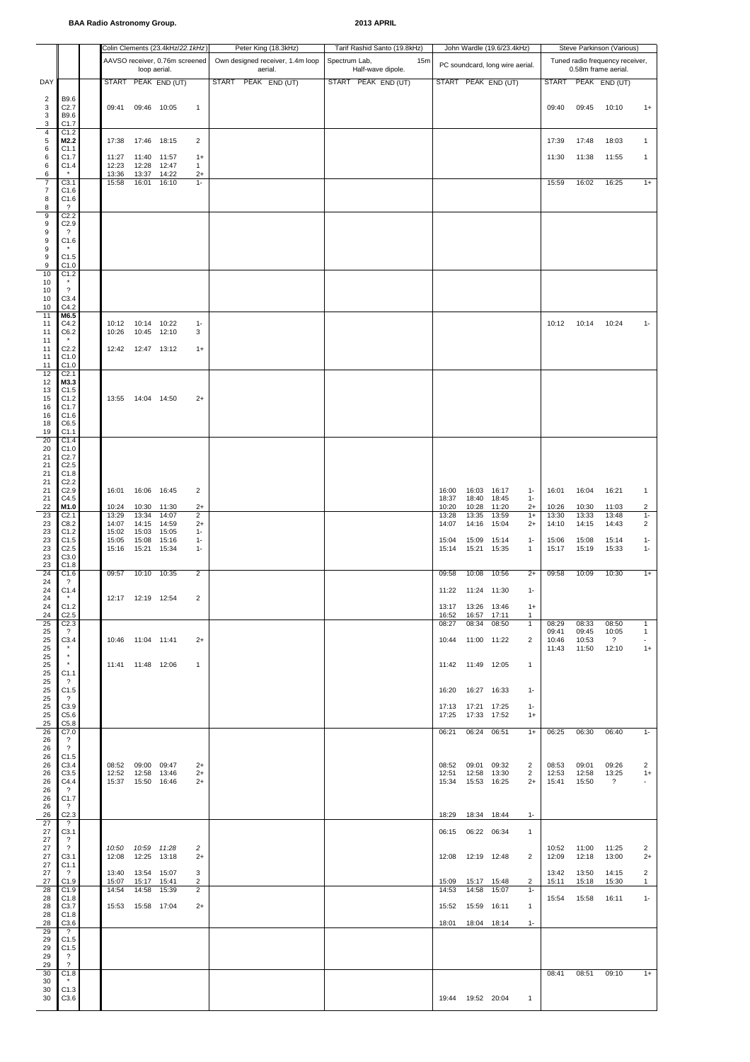|                                         |                                              |                |                              | Colin Clements (23.4kHz/22.1kHz) |                        | Peter King (18.3kHz)           |                                  |               | Tarif Rashid Santo (19.8kHz)             |     |                |                            | John Wardle (19.6/23.4kHz)      |                              | Steve Parkinson (Various)       |                |                                      |                         |  |  |  |
|-----------------------------------------|----------------------------------------------|----------------|------------------------------|----------------------------------|------------------------|--------------------------------|----------------------------------|---------------|------------------------------------------|-----|----------------|----------------------------|---------------------------------|------------------------------|---------------------------------|----------------|--------------------------------------|-------------------------|--|--|--|
|                                         |                                              |                |                              | AAVSO receiver, 0.76m screened   |                        |                                | Own designed receiver, 1.4m loop | Spectrum Lab, |                                          | 15m |                |                            | PC soundcard, long wire aerial. |                              | Tuned radio frequency receiver, |                |                                      |                         |  |  |  |
| DAY                                     |                                              |                | loop aerial.                 | START PEAK END (UT)              |                        | aerial.<br>START PEAK END (UT) |                                  |               | Half-wave dipole.<br>START PEAK END (UT) |     |                |                            | START PEAK END (UT)             |                              | <b>START</b>                    |                | 0.58m frame aerial.<br>PEAK END (UT) |                         |  |  |  |
|                                         | B9.6                                         |                |                              |                                  |                        |                                |                                  |               |                                          |     |                |                            |                                 |                              |                                 |                |                                      |                         |  |  |  |
| $\overline{2}$<br>$\mathsf 3$<br>3<br>3 | C <sub>2.7</sub><br>B9.6<br>C <sub>1.7</sub> | 09:41          | 09:46 10:05                  |                                  | $\mathbf{1}$           |                                |                                  |               |                                          |     |                |                            |                                 |                              | 09:40                           | 09:45          | 10:10                                | $1+$                    |  |  |  |
| $\overline{\mathbf{4}}$<br>5            | C1.2<br>M2.2                                 | 17:38          | 17:46 18:15                  |                                  | $\overline{2}$         |                                |                                  |               |                                          |     |                |                            |                                 |                              | 17:39                           | 17:48          | 18:03                                | $\mathbf{1}$            |  |  |  |
| 6<br>6                                  | C <sub>1.1</sub><br>C <sub>1.7</sub>         | 11:27          | 11:40 11:57                  |                                  | $1+$                   |                                |                                  |               |                                          |     |                |                            |                                 |                              | 11:30                           | 11:38          | 11:55                                | $\mathbf{1}$            |  |  |  |
| 6<br>6                                  | C1.4<br>$\star$                              | 12:23<br>13:36 | 12:28<br>13:37               | 12:47<br>14:22                   | 1<br>$2+$              |                                |                                  |               |                                          |     |                |                            |                                 |                              |                                 |                |                                      |                         |  |  |  |
| $\overline{7}$<br>$\overline{7}$        | C3.1<br>C1.6                                 | 15:58          | 16:01                        | 16:10                            | $1 -$                  |                                |                                  |               |                                          |     |                |                            |                                 |                              | 15:59                           | 16:02          | 16:25                                | $1+$                    |  |  |  |
| 8<br>8                                  | C1.6<br>$\overline{\mathcal{L}}$             |                |                              |                                  |                        |                                |                                  |               |                                          |     |                |                            |                                 |                              |                                 |                |                                      |                         |  |  |  |
| 9<br>9                                  | C2.2<br>C2.9                                 |                |                              |                                  |                        |                                |                                  |               |                                          |     |                |                            |                                 |                              |                                 |                |                                      |                         |  |  |  |
| 9<br>9                                  | $\gamma$<br>C1.6                             |                |                              |                                  |                        |                                |                                  |               |                                          |     |                |                            |                                 |                              |                                 |                |                                      |                         |  |  |  |
| 9<br>9                                  | $^\star$<br>C1.5                             |                |                              |                                  |                        |                                |                                  |               |                                          |     |                |                            |                                 |                              |                                 |                |                                      |                         |  |  |  |
| 9<br>10                                 | C1.0<br>C1.2                                 |                |                              |                                  |                        |                                |                                  |               |                                          |     |                |                            |                                 |                              |                                 |                |                                      |                         |  |  |  |
| 10                                      | $^\star$<br>$\overline{\phantom{a}}$         |                |                              |                                  |                        |                                |                                  |               |                                          |     |                |                            |                                 |                              |                                 |                |                                      |                         |  |  |  |
| 10<br>10                                | C3.4<br>C4.2                                 |                |                              |                                  |                        |                                |                                  |               |                                          |     |                |                            |                                 |                              |                                 |                |                                      |                         |  |  |  |
| 10<br>11                                | M6.5                                         |                |                              |                                  |                        |                                |                                  |               |                                          |     |                |                            |                                 |                              |                                 |                |                                      |                         |  |  |  |
| 11<br>11                                | C4.2<br>C6.2                                 | 10:26          | 10:12  10:14  10:22<br>10:45 | 12:10                            | $1 -$<br>3             |                                |                                  |               |                                          |     |                |                            |                                 |                              | 10:12 10:14                     |                | 10:24                                | $1 -$                   |  |  |  |
| 11<br>11                                | C <sub>2.2</sub>                             | 12:42          | 12:47 13:12                  |                                  | $1+$                   |                                |                                  |               |                                          |     |                |                            |                                 |                              |                                 |                |                                      |                         |  |  |  |
| 11<br>11                                | C1.0<br>C1.0                                 |                |                              |                                  |                        |                                |                                  |               |                                          |     |                |                            |                                 |                              |                                 |                |                                      |                         |  |  |  |
| 12<br>12                                | C <sub>2.1</sub><br>M3.3                     |                |                              |                                  |                        |                                |                                  |               |                                          |     |                |                            |                                 |                              |                                 |                |                                      |                         |  |  |  |
| 13<br>15                                | C1.5<br>C1.2                                 |                | 13:55  14:04  14:50          |                                  | $2+$                   |                                |                                  |               |                                          |     |                |                            |                                 |                              |                                 |                |                                      |                         |  |  |  |
| 16<br>16                                | C1.7<br>C1.6                                 |                |                              |                                  |                        |                                |                                  |               |                                          |     |                |                            |                                 |                              |                                 |                |                                      |                         |  |  |  |
| 18<br>19                                | C6.5<br>C1.1                                 |                |                              |                                  |                        |                                |                                  |               |                                          |     |                |                            |                                 |                              |                                 |                |                                      |                         |  |  |  |
| 20<br>20                                | C1.4<br>C1.0                                 |                |                              |                                  |                        |                                |                                  |               |                                          |     |                |                            |                                 |                              |                                 |                |                                      |                         |  |  |  |
| 21<br>21                                | C <sub>2.7</sub><br>C <sub>2.5</sub>         |                |                              |                                  |                        |                                |                                  |               |                                          |     |                |                            |                                 |                              |                                 |                |                                      |                         |  |  |  |
| 21                                      | C1.8                                         |                |                              |                                  |                        |                                |                                  |               |                                          |     |                |                            |                                 |                              |                                 |                |                                      |                         |  |  |  |
| 21<br>21                                | C2.2<br>C2.9                                 | 16:01          | 16:06 16:45                  |                                  | 2                      |                                |                                  |               |                                          |     | 16:00          | 16:03 16:17                |                                 | $1 -$                        | 16:01                           | 16:04          | 16:21                                | $\mathbf{1}$            |  |  |  |
| 21<br>22                                | C4.5<br>M1.0                                 | 10:24          | 10:30                        | 11:30                            | $2+$                   |                                |                                  |               |                                          |     | 18:37<br>10:20 | 18:40<br>10:28             | 18:45<br>11:20                  | $1 -$<br>$2+$                | 10:26                           | 10:30          | 11:03                                | 2                       |  |  |  |
| 23<br>23                                | C <sub>2.1</sub><br>C8.2                     | 13:29<br>14:07 | 13:34<br>14:15               | 14:07<br>14:59                   | $\overline{2}$<br>$2+$ |                                |                                  |               |                                          |     | 13:28<br>14:07 | 13:35<br>14:16             | 13:59<br>15:04                  | $1+$<br>$^{2+}$              | 13:30<br>14:10                  | 13:33<br>14:15 | 13:48<br>14:43                       | $1 -$<br>$\overline{2}$ |  |  |  |
| 23<br>23                                | C1.2<br>C1.5                                 | 15:02<br>15:05 | 15:03<br>15:08               | 15:05<br>15:16                   | $1 -$<br>$1 -$         |                                |                                  |               |                                          |     | 15:04          | 15:09                      | 15:14                           | $1-$                         | 15:06                           | 15:08          | 15:14                                | $1 -$                   |  |  |  |
| 23<br>23                                | C <sub>2.5</sub><br>C3.0                     | 15:16          | 15:21                        | 15:34                            | $1 -$                  |                                |                                  |               |                                          |     | 15:14          | 15:21 15:35                |                                 | $\mathbf{1}$                 | 15:17                           | 15:19          | 15:33                                | $1 -$                   |  |  |  |
| 23<br>24                                | C1.8<br>C1.6                                 | 09:57          | 10:10                        | 10:35                            | $\overline{2}$         |                                |                                  |               |                                          |     | 09:58          | 10:08                      | 10:56                           | $2+$                         | 09:58                           | 10:09          | 10:30                                | $1+$                    |  |  |  |
| 24<br>24                                | $\cdot$ ?<br>C1.4                            |                |                              |                                  |                        |                                |                                  |               |                                          |     |                | 11:22  11:24  11:30        |                                 | $1 -$                        |                                 |                |                                      |                         |  |  |  |
| 24<br>24                                | $^\star$<br>C1.2                             |                | 12:17  12:19  12:54          |                                  | $\overline{c}$         |                                |                                  |               |                                          |     |                | 13:17  13:26  13:46        |                                 | $1+$                         |                                 |                |                                      |                         |  |  |  |
| 24<br>25                                | C2.5<br>C <sub>2.3</sub>                     |                |                              |                                  |                        |                                |                                  |               |                                          |     | 16:52<br>08:27 | 16:57<br>08:34             | 17:11<br>08:50                  | $\mathbf{1}$<br>$\mathbf{1}$ | 08:29                           | 08:33          | 08:50                                | $\mathbf{1}$            |  |  |  |
| 25<br>25                                | $\overline{?}$<br>C3.4                       |                | 10:46 11:04 11:41            |                                  | $2+$                   |                                |                                  |               |                                          |     | 10:44          | 11:00 11:22                |                                 | 2                            | 09:41<br>10:46                  | 09:45<br>10:53 | 10:05<br>$\overline{\mathcal{L}}$    | $\mathbf{1}$<br>$\sim$  |  |  |  |
| 25<br>25                                | $\star$<br>$^\star$                          |                |                              |                                  |                        |                                |                                  |               |                                          |     |                |                            |                                 |                              | 11:43                           | 11:50          | 12:10                                | $1+$                    |  |  |  |
| 25                                      | $^\star$                                     |                | 11:41  11:48  12:06          |                                  | $\mathbf{1}$           |                                |                                  |               |                                          |     |                | 11:42  11:49  12:05        |                                 | $\mathbf{1}$                 |                                 |                |                                      |                         |  |  |  |
| 25<br>25                                | C1.1<br>$\overline{\mathcal{L}}$             |                |                              |                                  |                        |                                |                                  |               |                                          |     |                |                            |                                 |                              |                                 |                |                                      |                         |  |  |  |
| 25<br>25                                | C1.5<br>$\overline{\mathcal{L}}$             |                |                              |                                  |                        |                                |                                  |               |                                          |     | 16:20          | 16:27  16:33               |                                 | $1 -$                        |                                 |                |                                      |                         |  |  |  |
| 25<br>25                                | C3.9<br>C5.6                                 |                |                              |                                  |                        |                                |                                  |               |                                          |     | 17:13<br>17:25 | 17:21 17:25<br>17:33 17:52 |                                 | $1 -$<br>$1+$                |                                 |                |                                      |                         |  |  |  |
| 25<br>26                                | C5.8<br>C7.0                                 |                |                              |                                  |                        |                                |                                  |               |                                          |     | 06:21          | 06:24                      | 06:51                           | $1+$                         | 06:25                           | 06:30          | 06:40                                | $1 -$                   |  |  |  |
| 26<br>26                                | $\gamma$<br>$\overline{\mathbf{?}}$          |                |                              |                                  |                        |                                |                                  |               |                                          |     |                |                            |                                 |                              |                                 |                |                                      |                         |  |  |  |
| 26<br>26                                | C1.5<br>C3.4                                 | 08:52          | 09:00 09:47                  |                                  | $2+$                   |                                |                                  |               |                                          |     | 08:52          | 09:01                      | 09:32                           | $\overline{2}$               | 08:53                           | 09:01          | 09:26                                | $\overline{2}$          |  |  |  |
| 26<br>26                                | C3.5<br>C4.4                                 | 12:52<br>15:37 | 12:58 13:46<br>15:50 16:46   |                                  | $2+$<br>$2+$           |                                |                                  |               |                                          |     | 12:51<br>15:34 | 12:58<br>15:53             | 13:30<br>16:25                  | $\overline{2}$<br>$2+$       | 12:53<br>15:41                  | 12:58<br>15:50 | 13:25<br>$\gamma$                    | $1+$                    |  |  |  |
| 26<br>26                                | $\overline{?}$<br>C1.7                       |                |                              |                                  |                        |                                |                                  |               |                                          |     |                |                            |                                 |                              |                                 |                |                                      |                         |  |  |  |
| 26<br>26                                | $\overline{?}$<br>C <sub>2.3</sub>           |                |                              |                                  |                        |                                |                                  |               |                                          |     | 18:29          | 18:34 18:44                |                                 | $1 -$                        |                                 |                |                                      |                         |  |  |  |
| 27<br>27                                | $\overline{\mathcal{L}}$<br>C3.1             |                |                              |                                  |                        |                                |                                  |               |                                          |     | 06:15          | 06:22                      | 06:34                           | $\mathbf{1}$                 |                                 |                |                                      |                         |  |  |  |
| 27<br>27                                | $\overline{\mathcal{L}}$<br>$\overline{?}$   | 10:50          | 10:59 11:28                  |                                  | $\overline{c}$         |                                |                                  |               |                                          |     |                |                            |                                 |                              | 10:52                           | 11:00          | 11:25                                | $\overline{2}$          |  |  |  |
| 27<br>27                                | C3.1                                         | 12:08          | 12:25                        | 13:18                            | $2+$                   |                                |                                  |               |                                          |     | 12:08          | 12:19 12:48                |                                 | $\overline{2}$               | 12:09                           | 12:18          | 13:00                                | $2+$                    |  |  |  |
| 27                                      | C1.1<br>$\overline{?}$                       | 13:40          | 13:54                        | 15:07                            | 3                      |                                |                                  |               |                                          |     |                |                            |                                 |                              | 13:42                           | 13:50          | 14:15                                | 2                       |  |  |  |
| 27<br>28                                | C1.9<br>C1.9                                 | 15:07<br>14:54 | 15:17<br>14:58               | 15:41<br>15:39                   | 2<br>$\overline{2}$    |                                |                                  |               |                                          |     | 15:09<br>14:53 | 15:17<br>14:58             | 15:48<br>15:07                  | $\overline{2}$<br>$1 -$      | 15:11                           | 15:18          | 15:30                                | $\mathbf{1}$            |  |  |  |
| 28<br>28                                | C1.8<br>C3.7                                 |                | 15:53  15:58  17:04          |                                  | $2+$                   |                                |                                  |               |                                          |     | 15:52          | 15:59 16:11                |                                 | $\mathbf{1}$                 | 15:54                           | 15:58          | 16:11                                | $1 -$                   |  |  |  |
| 28<br>28                                | C1.8<br>C3.6                                 |                |                              |                                  |                        |                                |                                  |               |                                          |     | 18:01          | 18:04 18:14                |                                 | $1-$                         |                                 |                |                                      |                         |  |  |  |
| 29<br>29                                | $\gamma$<br>C1.5                             |                |                              |                                  |                        |                                |                                  |               |                                          |     |                |                            |                                 |                              |                                 |                |                                      |                         |  |  |  |
| 29<br>29                                | C1.5<br>$\cdot$ ?                            |                |                              |                                  |                        |                                |                                  |               |                                          |     |                |                            |                                 |                              |                                 |                |                                      |                         |  |  |  |
| 29<br>30                                | $\overline{\mathcal{E}}$<br>C1.8             |                |                              |                                  |                        |                                |                                  |               |                                          |     |                |                            |                                 |                              | 08:41                           | 08:51          | 09:10                                | $1+$                    |  |  |  |
| 30<br>30                                | $\star$<br>C1.3                              |                |                              |                                  |                        |                                |                                  |               |                                          |     |                |                            |                                 |                              |                                 |                |                                      |                         |  |  |  |
| 30                                      | C3.6                                         |                |                              |                                  |                        |                                |                                  |               |                                          |     |                | 19:44  19:52  20:04        |                                 | $\overline{1}$               |                                 |                |                                      |                         |  |  |  |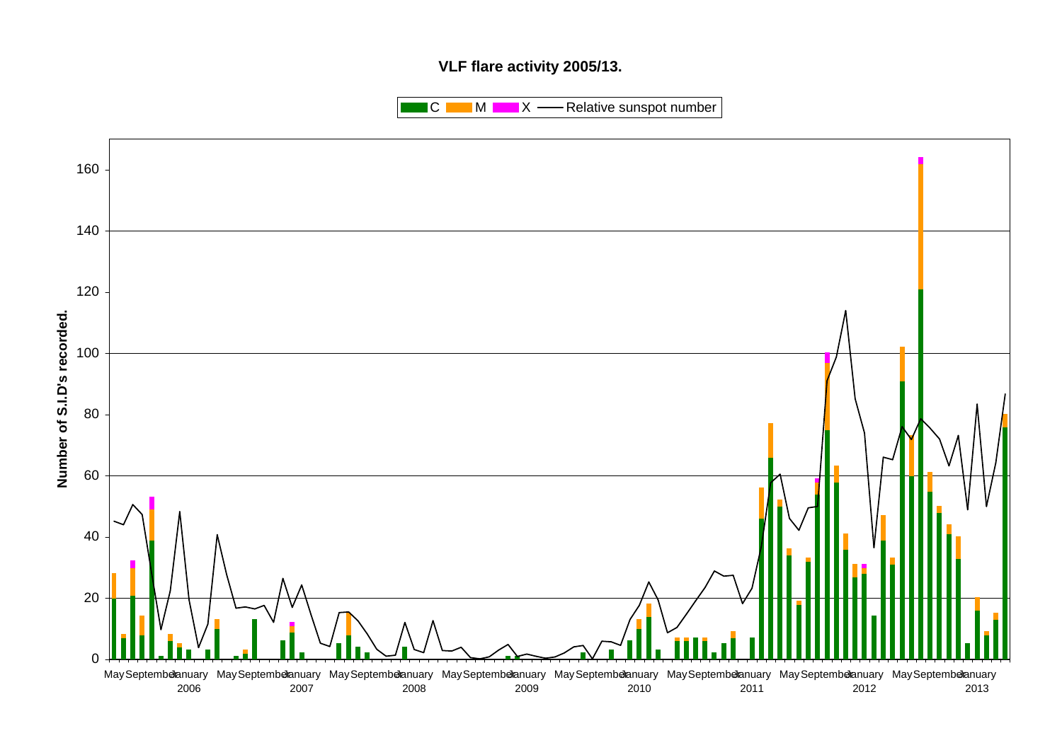# **VLF flare activity 2005/13.**

 $\blacksquare$  C  $\blacksquare$  M  $\blacksquare$   $\blacksquare$  X  $\blacksquare$  Relative sunspot number

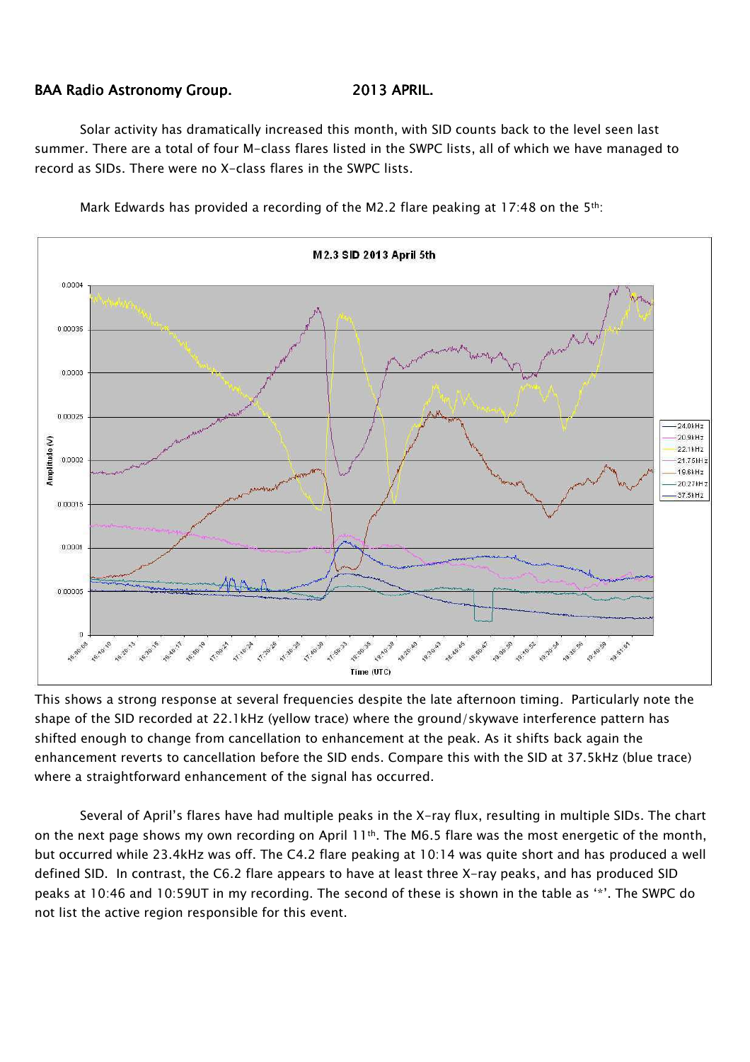# BAA Radio Astronomy Group. 2013 APRIL.

Solar activity has dramatically increased this month, with SID counts back to the level seen last summer. There are a total of four M-class flares listed in the SWPC lists, all of which we have managed to record as SIDs. There were no X-class flares in the SWPC lists.



Mark Edwards has provided a recording of the M2.2 flare peaking at 17:48 on the 5th:

This shows a strong response at several frequencies despite the late afternoon timing. Particularly note the shape of the SID recorded at 22.1kHz (yellow trace) where the ground/skywave interference pattern has shifted enough to change from cancellation to enhancement at the peak. As it shifts back again the enhancement reverts to cancellation before the SID ends. Compare this with the SID at 37.5kHz (blue trace) where a straightforward enhancement of the signal has occurred.

Several of April's flares have had multiple peaks in the X-ray flux, resulting in multiple SIDs. The chart on the next page shows my own recording on April  $11<sup>th</sup>$ . The M6.5 flare was the most energetic of the month, but occurred while 23.4kHz was off. The C4.2 flare peaking at 10:14 was quite short and has produced a well defined SID. In contrast, the C6.2 flare appears to have at least three X-ray peaks, and has produced SID peaks at 10:46 and 10:59UT in my recording. The second of these is shown in the table as '\*'. The SWPC do not list the active region responsible for this event.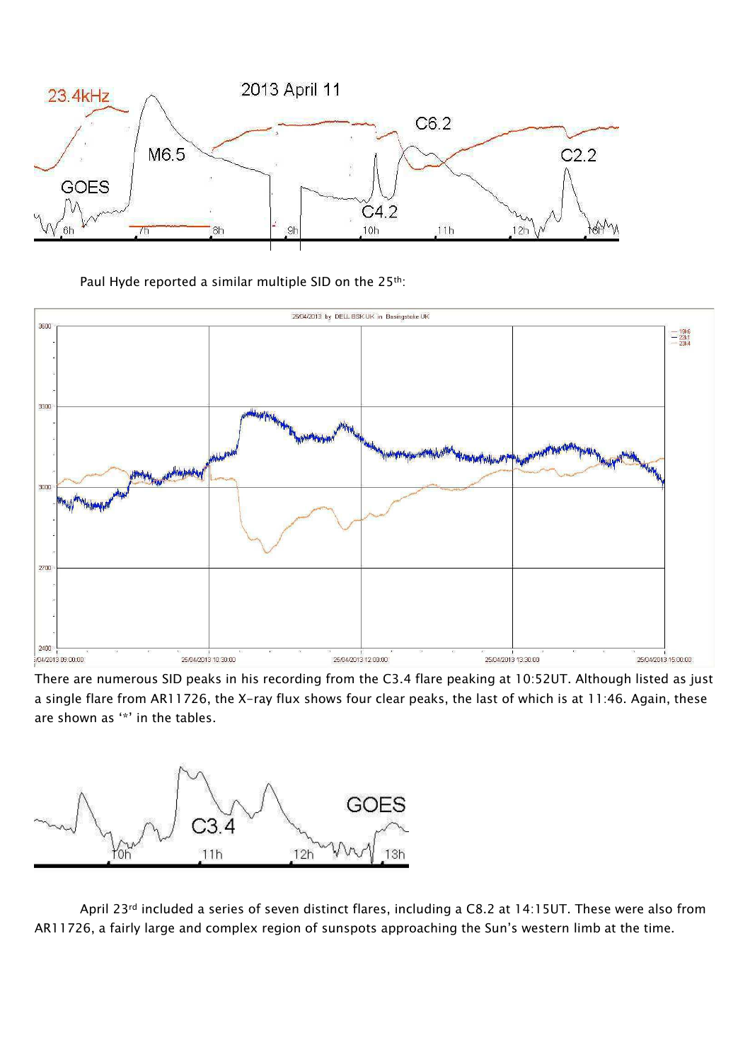

Paul Hyde reported a similar multiple SID on the 25<sup>th</sup>:



There are numerous SID peaks in his recording from the C3.4 flare peaking at 10:52UT. Although listed as just a single flare from AR11726, the X-ray flux shows four clear peaks, the last of which is at 11:46. Again, these are shown as '\*' in the tables.



April 23rd included a series of seven distinct flares, including a C8.2 at 14:15UT. These were also from AR11726, a fairly large and complex region of sunspots approaching the Sun's western limb at the time.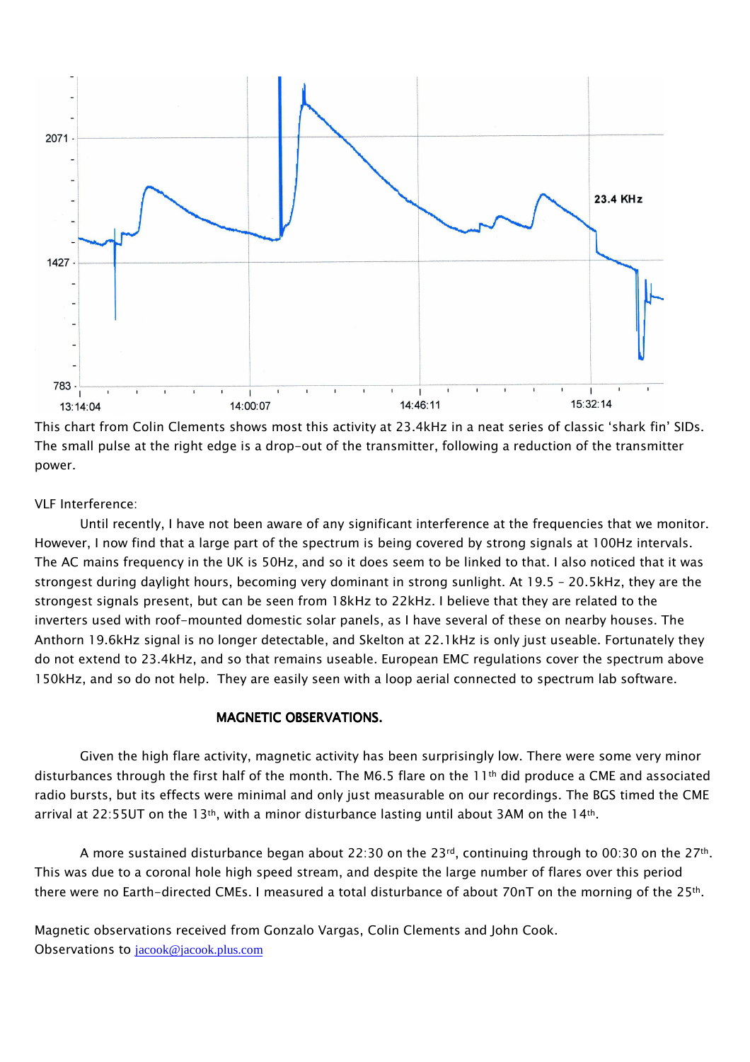

This chart from Colin Clements shows most this activity at 23.4kHz in a neat series of classic 'shark fin' SIDs. The small pulse at the right edge is a drop-out of the transmitter, following a reduction of the transmitter power.

## VLF Interference:

Until recently, I have not been aware of any significant interference at the frequencies that we monitor. However, I now find that a large part of the spectrum is being covered by strong signals at 100Hz intervals. The AC mains frequency in the UK is 50Hz, and so it does seem to be linked to that. I also noticed that it was strongest during daylight hours, becoming very dominant in strong sunlight. At 19.5 – 20.5kHz, they are the strongest signals present, but can be seen from 18kHz to 22kHz. I believe that they are related to the inverters used with roof-mounted domestic solar panels, as I have several of these on nearby houses. The Anthorn 19.6kHz signal is no longer detectable, and Skelton at 22.1kHz is only just useable. Fortunately they do not extend to 23.4kHz, and so that remains useable. European EMC regulations cover the spectrum above 150kHz, and so do not help. They are easily seen with a loop aerial connected to spectrum lab software.

# MAGNETIC OBSERVATIONS.

Given the high flare activity, magnetic activity has been surprisingly low. There were some very minor disturbances through the first half of the month. The M6.5 flare on the  $11<sup>th</sup>$  did produce a CME and associated radio bursts, but its effects were minimal and only just measurable on our recordings. The BGS timed the CME arrival at 22:55UT on the 13<sup>th</sup>, with a minor disturbance lasting until about 3AM on the 14<sup>th</sup>.

A more sustained disturbance began about 22:30 on the 23<sup>rd</sup>, continuing through to 00:30 on the 27<sup>th</sup>. This was due to a coronal hole high speed stream, and despite the large number of flares over this period there were no Earth-directed CMEs. I measured a total disturbance of about 70nT on the morning of the 25th.

Magnetic observations received from Gonzalo Vargas, Colin Clements and John Cook. Observations to jacook@jacook.plus.com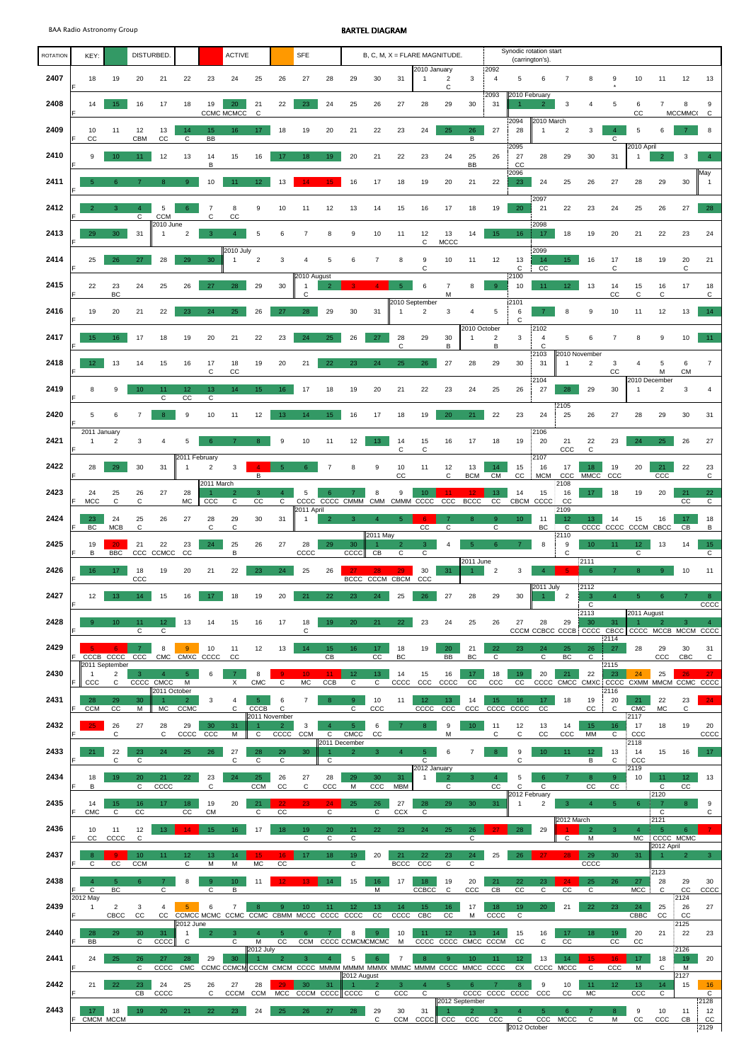| <b>ROTATION</b> | KEY:                         | DISTURBED.                     |                           |                                 |                               | <b>ACTIVE</b>                       |                                |                                         |                                | <b>SFE</b>                   |                                 |                                | $B, C, M, X = FLARE MAGNITUDE.$ |                     |                                   |                                  |                                |                                   |                                    | Synodic rotation start<br>(carrington's) |                                      |                                               |                      |                                  |                 |                       |                        |  |  |
|-----------------|------------------------------|--------------------------------|---------------------------|---------------------------------|-------------------------------|-------------------------------------|--------------------------------|-----------------------------------------|--------------------------------|------------------------------|---------------------------------|--------------------------------|---------------------------------|---------------------|-----------------------------------|----------------------------------|--------------------------------|-----------------------------------|------------------------------------|------------------------------------------|--------------------------------------|-----------------------------------------------|----------------------|----------------------------------|-----------------|-----------------------|------------------------|--|--|
| 2407            | 18                           | 19                             | 20                        | 21                              | 22                            | 23                                  | 24                             | 25                                      | 26                             | 27                           | 28                              | 29                             | 30                              | 31                  | 2010 January                      | $\overline{\mathbf{c}}$          | 3                              | 2092<br>$\overline{4}$            | 5                                  | 6                                        |                                      | 8                                             | 9                    | 10                               | 11              | 12                    | 13                     |  |  |
| 2408            | 14                           | 15 <sub>15</sub>               | 16                        | 17                              | 18                            | 19                                  | 20                             | 21                                      | 22                             | 23                           | 24                              | 25                             | 26                              | 27                  | 28                                | С<br>29                          | 30                             | 2093<br>31                        | 2010 February                      | 2                                        | 3                                    |                                               | 5                    | 6                                |                 | 8                     | 9                      |  |  |
| 2409            | 10<br>CC                     | 11                             | 12<br><b>CBM</b>          | 13<br>CC                        | 14<br>C                       | 15<br>$\overline{BB}$               | <b>CCMC MCMCC</b><br>16        | C<br>17                                 | 18                             | 19                           | 20                              | 21                             | 22                              | 23                  | 24                                | 25                               | 26<br>B                        | 27                                | 2094<br>28                         | 2010 March<br>-1                         | 2                                    | 3                                             | C                    | CC<br>5                          |                 | <b>MCCMMCI</b>        | C<br>8                 |  |  |
| 2410            | 9                            | 10 <sup>10</sup>               | 11                        | 12                              | 13                            | 14                                  | 15                             | 16                                      | 17                             | 18                           | 19                              | 20                             | 21                              | 22                  | 23                                | 24                               | 25                             | 26                                | 2095<br>27                         | 28                                       | 29                                   | 30                                            | 31                   | 2010 April                       | 2               | 3                     |                        |  |  |
| 2411            |                              |                                |                           |                                 | 9                             | в<br>10                             | 11                             | 12 <sub>2</sub>                         | 13                             |                              |                                 | 16                             | 17                              | 18                  | 19                                | 20                               | BB<br>21                       | 22                                | CC<br>2096<br>23                   | 24                                       | 25                                   | 26                                            | 27                   | 28                               | 29              | 30                    | May<br>$\overline{1}$  |  |  |
| 2412            |                              | 3                              |                           | 5                               |                               | $\overline{7}$                      | 8                              |                                         | 10                             | 11                           | 12                              | 13                             | 14                              | 15                  | 16                                | 17                               | 18                             | 19                                | 20                                 | 2097<br>21                               | 22                                   | 23                                            | 24                   | 25                               | 26              | 27                    | 28                     |  |  |
| 2413            | 29                           | 30 <sub>1</sub>                | C<br>31                   | <b>CCM</b><br>2010 June         | 2                             | $\mathbf C$<br>3                    | СC<br>$\overline{A}$           |                                         | 6                              |                              | 8                               | 9                              | 10                              | 11                  | 12<br>C                           | 13<br>MCCC                       | 14                             | 15 <sub>15</sub>                  | 16                                 | 2098<br>17                               | 18                                   | 19                                            | 20                   | 21                               | 22              | 23                    | 24                     |  |  |
| 2414            | 25                           | 26                             | 27                        | 28                              | 29                            | 30                                  | <b>2010 July</b><br>-1         | $\overline{2}$                          | 3                              |                              | 5                               |                                |                                 | 8                   | 9<br>C                            | 10                               | 11                             | 12                                | 13<br>C                            | 2099<br>14<br>cc                         | 15 <sub>1</sub>                      | 16                                            | 17<br>C              | 18                               | 19              | 20<br>C               | 21                     |  |  |
| 2415            | 22                           | 23<br><b>BC</b>                | 24                        | 25                              | 26                            | 27                                  | 28                             | 29                                      | 30                             | 2010 August<br>C             | 2                               |                                |                                 |                     | 6                                 | 7<br>M                           | 8                              | $9^{\circ}$                       | 2100<br>10                         | 11                                       | 12 <sub>2</sub>                      | 13                                            | 14<br>CC             | 15<br>C                          | 16<br>С         | 17                    | 18<br>С                |  |  |
| 2416            | 19                           | 20                             | 21                        | 22                              | 23                            | 24                                  | 25                             | 26                                      | 27                             | 28                           | 29                              | 30                             | 31                              |                     | 2010 September<br>$\overline{2}$  | 3                                |                                | 5                                 | 2101<br>6<br>$\mathbf C$           |                                          |                                      | 9                                             | 10                   | 11                               | 12              | 13                    | 14                     |  |  |
| 2417            | 15                           | 16 <sup>°</sup>                | 17                        | 18                              | 19                            | 20                                  | 21                             | 22                                      | 23                             | 24                           | 25                              | 26                             | 27                              | 28<br>C             | 29                                | 30<br>B                          | 2010 October                   | $\overline{c}$<br>В               | 3                                  | 2102<br>$\overline{4}$<br>C              | 5                                    | 6                                             | 7                    | 8                                | 9               | 10                    | 11                     |  |  |
| 2418            | 12                           | 13                             | 14                        | 15                              | 16                            | 17<br>C                             | 18<br>CC                       | 19                                      | 20                             | 21                           | 22                              | 23                             | 24                              | 25                  | 26                                | 27                               | 28                             | 29                                | 30                                 | 2103<br>31                               |                                      | 2010 November<br>$\overline{c}$               | 3<br>CC              |                                  | 5<br>M          | 6<br><b>CM</b>        | $\overline{7}$         |  |  |
| 2419            | 8                            | 9                              | 10                        | 11<br>C                         | 12 <sub>2</sub><br>CC         | 13<br>C                             | 14                             | 15 <sub>15</sub>                        | 16                             | 17                           | 18                              | 19                             | 20                              | 21                  | 22                                | 23                               | 24                             | 25                                | 26                                 | 2104<br>27                               | 28                                   | 29                                            | 30                   | 2010 December                    | $\overline{2}$  | 3                     | 4                      |  |  |
| 2420            | 5                            | 6                              |                           |                                 | 9                             | 10                                  | 11                             | 12                                      | 13                             | 14                           | 15                              | 16                             | 17                              | 18                  | 19                                | 20                               | 21                             | 22                                | 23                                 | 24                                       | 2105<br>25                           | 26                                            | 27                   | 28                               | 29              | 30                    | 31                     |  |  |
| 2421            | 2011 January<br>$\mathbf{1}$ | 2                              | 3                         | 4                               | 5                             |                                     |                                |                                         | 9                              | 10                           | 11                              | 12                             | 13                              | 14<br>C             | 15<br>С                           | 16                               | 17                             | 18                                | 19                                 | 2106<br>20                               | 21<br>ccc                            | 22<br>C                                       | 23                   | 24                               | 25              | 26                    | 27                     |  |  |
| 2422            | 28                           | 29                             | 30                        | 31                              | 2011 February<br>$\mathbf{1}$ | $\overline{2}$                      | 3                              | B                                       | $\overline{5}$                 | 6                            | 7                               | 8                              | 9                               | 10<br>cc            | 11                                | 12<br>C                          | 13<br><b>BCM</b>               | 14<br><b>CM</b>                   | 15                                 | :2107<br>16<br>CC MCM                    | 17<br>CCC                            | 18<br><b>MMCC</b>                             | 19<br>CCC            | 20                               | 21<br>CCC       | 22                    | 23<br>C                |  |  |
| 2423            | 24<br><b>MCC</b><br>F        | 25<br>C                        | 26<br>С                   | 27                              | 28<br>MC                      | 2011 March<br>$\overline{1}$<br>CCC | $\overline{2}$<br>$\mathsf C$  | 3 <sup>°</sup><br>cc                    | $\overline{4}$<br>$\mathsf{C}$ | 5                            | 6<br>CCCC CCCC CMMM             | $\mathbf{7}$                   | 8                               | 9<br>CMM CMMM CCCC  | 10 <sup>°</sup>                   | 11<br>ccc                        | 12 <sub>1</sub><br><b>BCCC</b> | 13 <sup>°</sup><br>cc             | 14                                 | 15<br>CBCM CCCC                          | 2108<br>16<br>CC                     | 17 <sub>z</sub>                               | 18                   | 19                               | 20              | 21<br>$\overline{cc}$ | 22<br>$\mathsf{C}$     |  |  |
| 2424            | 23<br>BC                     | 24<br><b>MCB</b>               | 25<br>$\mathsf C$         | 26                              | 27                            | 28<br>$\mathsf C$                   | 29<br>$\mathbf C$              | 30                                      | 31                             | 2011 April<br>$\overline{1}$ | $\overline{2}$                  | 3                              | $\overline{4}$<br>2011 May      | 5 <sup>5</sup>      | 6 <sup>1</sup><br>$\overline{cc}$ | $\overline{7}$<br>C              | 8                              | $9^{\circ}$<br>С                  | 10 <sup>°</sup>                    | 11<br>BC                                 | 2109<br>12 <sub>2</sub><br>C<br>2110 | 13 <sup>°</sup><br>CCCC CCCC CCCM CBCC        | 14                   | 15                               | 16              | 17 <sup>2</sup><br>CB | 18<br>В                |  |  |
| 2425            | 19<br>В                      | 20 <sub>1</sub><br>BBC         | 21                        | 22<br>CCC CCMCC                 | 23<br>CC                      | 24                                  | 25<br>В                        | 26                                      | 27                             | 28<br>CCCC                   | 29                              | 30<br>CCCC                     | CB                              | $\overline{2}$<br>C | 3 <sup>7</sup><br>C               |                                  | 5 <sup>5</sup><br>2011 June    | 6 <sup>1</sup>                    | $\overline{7}$                     | 8                                        | 9<br>C                               | 10 <sup>°</sup><br>2111                       | 11                   | 12 <sup>2</sup><br>C             | 13              | 14                    | 15 <sub>1</sub><br>C   |  |  |
| 2426            | 16                           | 17 <sup>2</sup>                | 18<br>ccc                 | 19                              | 20                            | 21                                  | 22                             | 23                                      | 24                             | 25                           | 26                              | 27                             | 28<br>BCCC CCCM                 | 29<br><b>CBCM</b>   | 30<br>CCC                         | 31                               |                                | 2                                 |                                    | <b>2011 July</b>                         |                                      | 6<br>2112                                     | $\overline{7}$       | 8                                | 9 <sup>°</sup>  | 10                    | 11                     |  |  |
| 2427            | 12                           | 13                             | 14 <sup>°</sup>           | 15                              | 16                            |                                     | 18                             | 19                                      | 20                             | 21                           | 22                              | 23                             | 24                              | 25                  | 26                                | 27                               | 28                             | 29                                | 30                                 |                                          | $\overline{2}$                       | 3<br>C<br>2113                                |                      | 5 <sup>5</sup><br>2011 August    |                 |                       | 8<br>CCCC              |  |  |
| 2428            | 9                            | 10 <sup>1</sup>                | 11<br>$\mathsf{C}$        | 12 <sup>°</sup><br>$\mathsf{C}$ | 13                            | 14                                  | 15                             | 16                                      | 17                             | 18<br>С                      | 19                              | 20                             | 21                              | 22                  | 23                                | 24                               | 25                             | 26                                | 27                                 | 28                                       | 29                                   | 30<br>CCCM CCBCC CCCB CCCC CBCC               | 31<br>2114           | $\overline{1}$<br>CCCC MCCB MCCM | $\overline{2}$  | 3 <sup>°</sup>        | $\overline{4}$<br>CCCC |  |  |
| 2429            | CCCB CCCC<br>2011 September  | 6                              | $\overline{7}$<br>CCC     | 8                               | $9^{\circ}$<br>CMC CMXC CCCC  | 10                                  | 11<br>cc                       | 12                                      | 13                             | 14                           | 15 <sub>1</sub><br>CB           | 16                             | 17<br>CC                        | 18<br>BC            | 19                                | 20<br>BB                         | 21<br>BC                       | 22<br>$\overline{C}$              | 23                                 | 24<br>$\mathsf{C}$                       | 25<br>BC                             | 26<br>$\mathsf{C}$                            | 27<br>2115           | 28                               | 29<br>CCC       | 30<br>CBC             | 31<br>$\mathsf{C}$     |  |  |
| 2430            | $\overline{1}$<br>CCC<br>F   | $\overline{2}$<br>$\mathsf{C}$ | $\mathbf{3}$<br>CCCC CMCC | $\overline{4}$<br>2011 October  | 5 <sup>1</sup><br>М           | 6                                   | $\overline{7}$<br>$\mathsf{X}$ | 8<br>CMC                                | C                              | 10<br><b>MC</b>              | 11<br>CCB                       | 12<br>C                        | 13 <sup>°</sup><br>C            | 14<br>CCCC          | 15<br>CCC                         | 16<br>CCCC                       | 17<br>$\overline{cc}$          | 18<br>CCC                         | 19<br>cc                           | 20                                       | 21                                   | 22<br>CCCC CMCC CMXC CCCC CXMM MMCM CCMC CCCC | 23<br>2116           | 24                               | 25              | 26                    | $27 -$                 |  |  |
| 2431            | 28<br><b>CCM</b><br>F        | 29<br>cc                       | 30 <sub>1</sub><br>M      | $\overline{1}$<br>МC            | 2 <sup>1</sup><br>CCMC        | 3                                   | 4<br>$\mathsf{C}$              | 5 <sub>1</sub><br>CCCB<br>2011 November | 6<br>$\mathtt{C}$              | $\overline{7}$               | 8 <sup>°</sup>                  | 9 <sup>°</sup><br>$\mathsf{C}$ | 10<br>CCC                       | 11                  | 12<br>CCCC                        | 13 <sup>°</sup><br>CCC           | 14<br>CCC                      | 15<br>CCCC                        | 16<br>CCCC                         | 17 <sub>2</sub><br>CC                    | 18                                   | 19<br>cc                                      | 20<br>C              | 21<br>CMC<br>2117                | 22<br><b>MC</b> | 23<br>C               | $24 -$                 |  |  |
| 2432            |                              | 26<br>C                        | 27                        | 28<br>C                         | 29<br>CCCC                    | $30\,$<br>CCC                       | 31<br>M                        | $\mathsf{C}$                            | $\overline{2}$<br>CCCC         | 3<br><b>CCM</b>              | $\overline{c}$<br>2011 December | $\overline{5}$<br>CMCC         | 6<br>cc                         |                     | 8 <sup>°</sup>                    | 9<br>M                           | 10 <sup>°</sup>                | 11<br>C                           | 12<br>C                            | 13<br>cc                                 | 14<br>CCC                            | 15<br><b>MM</b>                               | 16<br>C              | 17<br>CCC<br>2118                | 18              | 19                    | 20<br>CCCC             |  |  |
| 2433            | 21                           | 22<br>$\mathsf{C}$             | $23\,$<br>C               | 24                              | 25                            | 26                                  | 27<br>$\mathsf{C}$             | ${\bf 28}$<br>$\mathsf{C}$              | $29\,$<br>$\mathsf{C}$         | 30                           | $-1$<br>C                       | $\overline{2}$                 | 3 <sup>°</sup>                  | $\overline{4}$      | $5 -$<br>$\mathbf{C}$             | 6                                | $\overline{7}$                 | 8 <sup>1</sup>                    | 9<br>$\mathsf{C}$                  | 10 <sup>°</sup>                          | 11 <sub>1</sub>                      | 12 <sub>1</sub><br>B                          | 13<br>C              | 14<br>CCC                        | 15              | 16                    | $17 -$                 |  |  |
| 2434            | 18<br>B                      | 19                             | 20<br>$\mathbf{C}$        | 21<br>CCCC                      | 22                            | 23<br>$\mathsf{C}$                  | 24                             | 25<br>CCM                               | 26<br>cc                       | 27<br>$\mathsf{C}$           | 28<br>CCC                       | 29<br>M                        | 30<br>CCC                       | 31<br><b>MBM</b>    | 2012 January<br>$\mathbf{1}$      | $\overline{2}$<br>$\overline{c}$ | $\mathbf{3}$                   | $\overline{4}$<br>$\overline{cc}$ | 5<br>$\mathsf{C}$<br>2012 February | 6<br>$\mathsf{C}$                        |                                      | 8<br>$\overline{cc}$                          | 9 <sup>°</sup><br>CC | 2119<br>10                       | 11<br>C<br>2120 | 12 <sup>2</sup><br>cc | 13                     |  |  |
|                 |                              |                                |                           |                                 |                               |                                     |                                |                                         |                                |                              |                                 |                                |                                 |                     |                                   |                                  |                                |                                   |                                    |                                          |                                      |                                               |                      |                                  |                 |                       |                        |  |  |